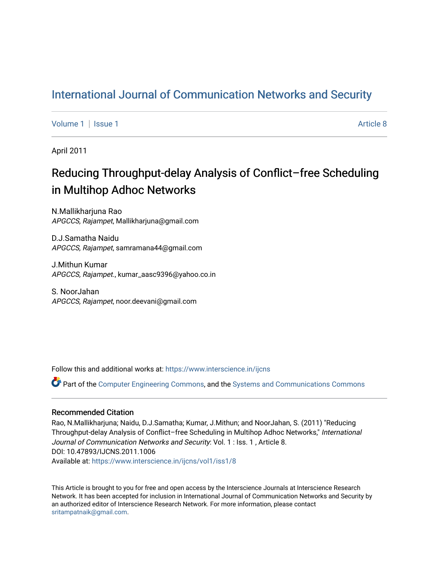## [International Journal of Communication Networks and Security](https://www.interscience.in/ijcns)

[Volume 1](https://www.interscience.in/ijcns/vol1) | [Issue 1](https://www.interscience.in/ijcns/vol1/iss1) Article 8

April 2011

# Reducing Throughput-delay Analysis of Conflict–free Scheduling in Multihop Adhoc Networks

N.Mallikharjuna Rao APGCCS, Rajampet, Mallikharjuna@gmail.com

D.J.Samatha Naidu APGCCS, Rajampet, samramana44@gmail.com

J.Mithun Kumar APGCCS, Rajampet., kumar\_aasc9396@yahoo.co.in

S. NoorJahan APGCCS, Rajampet, noor.deevani@gmail.com

Follow this and additional works at: [https://www.interscience.in/ijcns](https://www.interscience.in/ijcns?utm_source=www.interscience.in%2Fijcns%2Fvol1%2Fiss1%2F8&utm_medium=PDF&utm_campaign=PDFCoverPages)

Part of the [Computer Engineering Commons,](http://network.bepress.com/hgg/discipline/258?utm_source=www.interscience.in%2Fijcns%2Fvol1%2Fiss1%2F8&utm_medium=PDF&utm_campaign=PDFCoverPages) and the [Systems and Communications Commons](http://network.bepress.com/hgg/discipline/276?utm_source=www.interscience.in%2Fijcns%2Fvol1%2Fiss1%2F8&utm_medium=PDF&utm_campaign=PDFCoverPages)

### Recommended Citation

Rao, N.Mallikharjuna; Naidu, D.J.Samatha; Kumar, J.Mithun; and NoorJahan, S. (2011) "Reducing Throughput-delay Analysis of Conflict–free Scheduling in Multihop Adhoc Networks," International Journal of Communication Networks and Security: Vol. 1 : Iss. 1, Article 8. DOI: 10.47893/IJCNS.2011.1006 Available at: [https://www.interscience.in/ijcns/vol1/iss1/8](https://www.interscience.in/ijcns/vol1/iss1/8?utm_source=www.interscience.in%2Fijcns%2Fvol1%2Fiss1%2F8&utm_medium=PDF&utm_campaign=PDFCoverPages)

This Article is brought to you for free and open access by the Interscience Journals at Interscience Research Network. It has been accepted for inclusion in International Journal of Communication Networks and Security by an authorized editor of Interscience Research Network. For more information, please contact [sritampatnaik@gmail.com](mailto:sritampatnaik@gmail.com).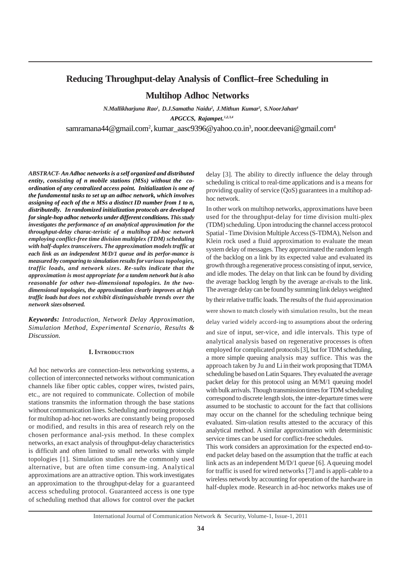### **Reducing Throughput-delay Analysis of Conflict–free Scheduling in**

**Multihop Adhoc Networks**

*N.Mallikharjuna Rao1 , D.J.Samatha Naidu2 , J.Mithun Kumar3 , S.NoorJahan4 APGCCS, Rajampet.1,2,3,4*

samramana44@gmail.com<sup>2</sup>, kumar\_aasc9396@yahoo.co.in<sup>3</sup>, noor.deevani@gmail.com<sup>4</sup>

*ABSTRACT- An Adhoc networks is a self organized and distributed entity, consisting of n mobile stations (MSs) without the coordination of any centralized access point. Initialization is one of the fundamental tasks to set up an adhoc network, which involves assigning of each of the n MSs a distinct ID number from 1 to n, distributedly. In randomized initialization protocols are developed for single-hop adhoc networks under different conditions. This study investigates the performance of an analytical approximation for the throughput-delay charac-teristic of a multihop ad-hoc network employing conflict-free time division multiplex (TDM) scheduling with half-duplex transceivers. The approximation models traffic at each link as an independent M/D/1 queue and its perfor-mance is measured by comparing to simulation results for various topologies, traffic loads, and network sizes. Re-sults indicate that the approximation is most appropriate for a tandem network but is also reasonable for other two-dimensional topologies. In the twodimensional topologies, the approximation clearly improves at high traffic loads but does not exhibit distinguishable trends over the network sizes observed.*

*Keywords: Introduction, Network Delay Approximation, Simulation Method, Experimental Scenario, Results & Discussion.*

#### **I. INTRODUCTION**

Ad hoc networks are connection-less networking systems, a collection of interconnected networks without communication channels like fiber optic cables, copper wires, twisted pairs, etc., are not required to communicate. Collection of mobile stations transmits the information through the base stations without communication lines. Scheduling and routing protocols for multihop ad-hoc net-works are constantly being proposed or modified, and results in this area of research rely on the chosen performance anal-ysis method. In these complex networks, an exact analysis of throughput-delay characteristics is difficult and often limited to small networks with simple topologies [1]. Simulation studies are the commonly used alternative, but are often time consum-ing. Analytical approximations are an attractive option. This work investigates an approximation to the throughput-delay for a guaranteed access scheduling protocol. Guaranteed access is one type of scheduling method that allows for control over the packet

delay [3]. The ability to directly influence the delay through scheduling is critical to real-time applications and is a means for providing quality of service (QoS) guarantees in a multihop adhoc network.

In other work on multihop networks, approximations have been used for the throughput-delay for time division multi-plex (TDM) scheduling. Upon introducing the channel access protocol Spatial - Time Division Multiple Access (S-TDMA), Nelson and Klein rock used a fluid approximation to evaluate the mean system delay of messages. They approximated the random length of the backlog on a link by its expected value and evaluated its growth through a regenerative process consisting of input, service, and idle modes. The delay on that link can be found by dividing the average backlog length by the average ar-rivals to the link. The average delay can be found by summing link delays weighted by their relative traffic loads. The results of the fluid approximation

were shown to match closely with simulation results, but the mean

delay varied widely accord-ing to assumptions about the ordering

and size of input, ser-vice, and idle intervals. This type of analytical analysis based on regenerative processes is often employed for complicated protocols [3], but for TDM scheduling, a more simple queuing analysis may suffice. This was the approach taken by Ju and Li in their work proposing that TDMA scheduling be based on Latin Squares. They evaluated the average packet delay for this protocol using an M/M/1 queuing model with bulk arrivals. Though transmission times for TDM scheduling correspond to discrete length slots, the inter-departure times were assumed to be stochastic to account for the fact that collisions may occur on the channel for the scheduling technique being evaluated. Sim-ulation results attested to the accuracy of this analytical method. A similar approximation with deterministic service times can be used for conflict-free schedules.

This work considers an approximation for the expected end-toend packet delay based on the assumption that the traffic at each link acts as an independent M/D/1 queue [6]. A queuing model for traffic is used for wired networks [7] and is appli-cable to a wireless network by accounting for operation of the hardware in half-duplex mode. Research in ad-hoc networks makes use of

International Journal of Communication Network & Security, Volume-1, Issue-1, 2011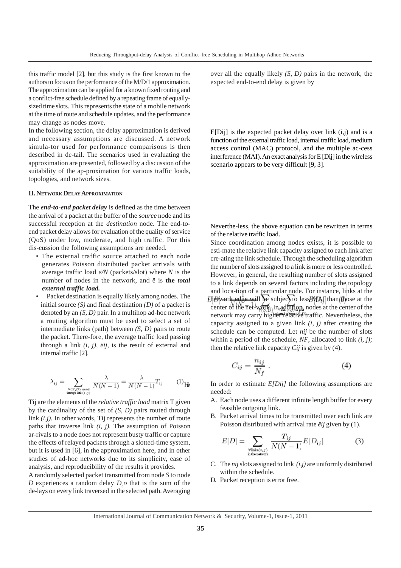this traffic model [2], but this study is the first known to the authors to focus on the performance of the M/D/1 approximation. The approximation can be applied for a known fixed routing and a conflict-free schedule defined by a repeating frame of equallysized time slots. This represents the state of a mobile network at the time of route and schedule updates, and the performance may change as nodes move.

In the following section, the delay approximation is derived and necessary assumptions are discussed. A network simula-tor used for performance comparisons is then described in de-tail. The scenarios used in evaluating the approximation are presented, followed by a discussion of the suitability of the ap-proximation for various traffic loads, topologies, and network sizes.

#### **II. NETWORK DELAY APPROXIMATION**

The *end-to-end packet delay* is defined as the time between the arrival of a packet at the buffer of the *source* node and its successful reception at the *destination* node. The end-toend packet delay allows for evaluation of the quality of service (QoS) under low, moderate, and high traffic. For this dis-cussion the following assumptions are needed.

- The external traffic source attached to each node generates Poisson distributed packet arrivals with average traffic load *ë/N* (packets/slot) where *N* is the number of nodes in the network, and ë is **the** *total external traffic load.*
- Packet destination is equally likely among nodes. The initial source *(S)* and final destination *(D)* of a packet is denoted by an *(S, D)* pair. In a multihop ad-hoc network a routing algorithm must be used to select a set of intermediate links (path) between *(S, D)* pairs to route the packet. There-fore, the average traffic load passing through a link *(i, j), ëij,* is the result of external and internal traffic [2].

$$
\lambda_{ij} = \sum_{\substack{\forall (S, D) \text{ round} \\ \text{through link } \langle i, j \rangle}} \frac{\lambda}{N(N-1)} = \frac{\lambda}{N(N-1)} T_{ij} \qquad (1)
$$

Tij are the elements of the *relative traffic load* matrix T given by the cardinality of the set of *(S, D)* pairs routed through link *(i,j)*. In other words, Tij represents the number of route paths that traverse link *(i, j).* The assumption of Poisson ar-rivals to a node does not represent busty traffic or capture the effects of relayed packets through a slotted-time system, but it is used in [6], in the approximation here, and in other studies of ad-hoc networks due to its simplicity, ease of analysis, and reproducibility of the results it provides.

A randomly selected packet transmitted from node *S* to node *D* experiences a random delay  $D<sub>s</sub>$ *D* that is the sum of the de-lays on every link traversed in the selected path. Averaging

over all the equally likely *(S, D)* pairs in the network, the expected end-to-end delay is given by

 $E[Dii]$  is the expected packet delay over link  $(i,j)$  and is a function of the external traffic load, internal traffic load, medium access control (MAC) protocol, and the multiple ac-cess interference (MAI). An exact analysis for E [Dij] in the wireless scenario appears to be very difficult [9, 3].

Neverthe-less, the above equation can be rewritten in terms of the relative traffic load.

Since coordination among nodes exists, it is possible to esti-mate the relative link capacity assigned to each link after cre-ating the link schedule. Through the scheduling algorithm the number of slots assigned to a link is more or less controlled. However, in general, the resulting number of slots assigned to a link depends on several factors including the topology and loca-tion of a particular node. For instance, links at the Enetwork edge will be subject to less MAI than those at the center of the net-work. In addition, nodes at the center of the network may carry higher relative traffic. Nevertheless, the capacity assigned to a given link *(i, j)* after creating the schedule can be computed. Let *nij* be the number of slots within a period of the schedule, *NF*, allocated to link *(i, j);* then the relative link capacity *Cij* is given by (4).

$$
C_{ij} = \frac{n_{ij}}{N_f} \,. \tag{4}
$$

In order to estimate *E[Dij]* the following assumptions are needed:

- A. Each node uses a different infinite length buffer for every feasible outgoing link.
- B. Packet arrival times to be transmitted over each link are Poisson distributed with arrival rate *ëij* given by (1).

$$
E[D] = \sum_{\substack{\forall \text{link} \in (i,j) \\ \text{in the network}}} \frac{T_{ij}}{N(N-1)} E[D_{ij}] \tag{3}
$$

- C. The *nij* slots assigned to link *(i,j)* are uniformly distributed within the schedule.
- D. Packet reception is error free.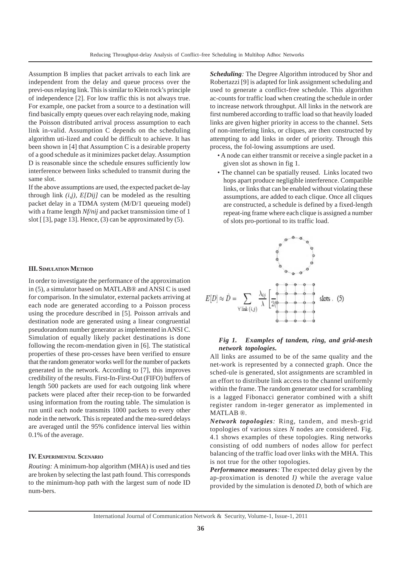Assumption B implies that packet arrivals to each link are independent from the delay and queue process over the previ-ous relaying link. This is similar to Klein rock's principle of independence [2]. For low traffic this is not always true. For example, one packet from a source to a destination will find basically empty queues over each relaying node, making the Poisson distributed arrival process assumption to each link in-valid. Assumption C depends on the scheduling algorithm uti-lized and could be difficult to achieve. It has been shown in [4] that Assumption C is a desirable property of a good schedule as it minimizes packet delay. Assumption D is reasonable since the schedule ensures sufficiently low interference between links scheduled to transmit during the same slot.

If the above assumptions are used, the expected packet de-lay through link *(i,j), E[Dij]* can be modeled as the resulting packet delay in a TDMA system (M/D/1 queueing model) with a frame length *Nf/nij* and packet transmission time of 1 slot [ [3], page 13]. Hence, (3) can be approximated by (5).

#### **III. SIMULATION METHOD**

In order to investigate the performance of the approximation in (5), a simulator based on MATLAB® and ANSI C is used for comparison. In the simulator, external packets arriving at each node are generated according to a Poisson process using the procedure described in [5]. Poisson arrivals and destination node are generated using a linear congruential pseudorandom number generator as implemented in ANSI C. Simulation of equally likely packet destinations is done following the recom-mendation given in [6]. The statistical properties of these pro-cesses have been verified to ensure that the random generator works well for the number of packets generated in the network. According to [7], this improves credibility of the results. First-In-First-Out (FIFO) buffers of length 500 packets are used for each outgoing link where packets were placed after their recep-tion to be forwarded using information from the routing table. The simulation is run until each node transmits 1000 packets to every other node in the network. This is repeated and the mea-sured delays are averaged until the 95% confidence interval lies within 0.1% of the average.

#### **IV. EXPERIMENTAL SCENARIO**

*Routing:* A minimum-hop algorithm (MHA) is used and ties are broken by selecting the last path found. This corresponds to the minimum-hop path with the largest sum of node ID num-bers.

*Scheduling:* The Degree Algorithm introduced by Shor and Robertazzi [9] is adapted for link assignment scheduling and used to generate a conflict-free schedule. This algorithm ac-counts for traffic load when creating the schedule in order to increase network throughput. All links in the network are first numbered according to traffic load so that heavily loaded links are given higher priority in access to the channel. Sets of non-interfering links, or cliques, are then constructed by attempting to add links in order of priority. Through this process, the fol-lowing assumptions are used.

- A node can either transmit or receive a single packet in a given slot as shown in fig 1.
- The channel can be spatially reused. Links located two hops apart produce negligible interference. Compatible links, or links that can be enabled without violating these assumptions, are added to each clique. Once all cliques are constructed, a schedule is defined by a fixed-length repeat-ing frame where each clique is assigned a number of slots pro-portional to its traffic load.



#### *Fig 1. Examples of tandem, ring, and grid-mesh network topologies.*

All links are assumed to be of the same quality and the net-work is represented by a connected graph. Once the sched-ule is generated, slot assignments are scrambled in an effort to distribute link access to the channel uniformly within the frame. The random generator used for scrambling is a lagged Fibonacci generator combined with a shift register random in-teger generator as implemented in MATLAB ®.

*Network topologies:* Ring, tandem, and mesh-grid topologies of various sizes *N* nodes are considered. Fig. 4.1 shows examples of these topologies. Ring networks consisting of odd numbers of nodes allow for perfect balancing of the traffic load over links with the MHA. This is not true for the other topologies.

*Performance measures:* The expected delay given by the ap-proximation is denoted *I)* while the average value provided by the simulation is denoted *D,* both of which are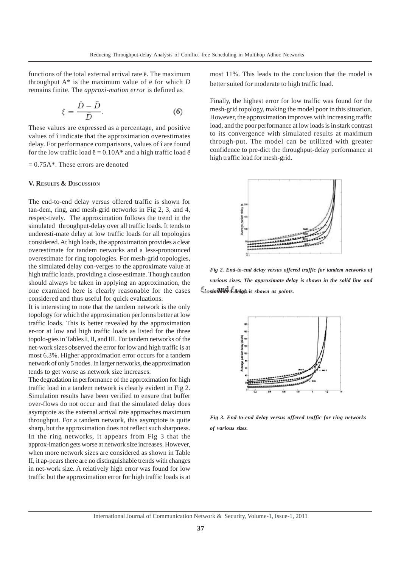functions of the total external arrival rate ë. The maximum throughput A\* is the maximum value of ë for which *D* remains finite. The *approxi-mation error* is defined as

$$
\xi = \frac{\bar{D} - \bar{D}}{\bar{D}}.\tag{6}
$$

These values are expressed as a percentage, and positive values of î indicate that the approximation overestimates delay. For performance comparisons, values of î are found for the low traffic load  $\ddot{e} = 0.10$ A\* and a high traffic load  $\ddot{e}$ 

 $= 0.75A^*$ . These errors are denoted

#### **V. RESULTS & DISCUSSION**

The end-to-end delay versus offered traffic is shown for tan-dem, ring, and mesh-grid networks in Fig 2, 3, and 4, respec-tively. The approximation follows the trend in the simulated throughput-delay over all traffic loads. It tends to underesti-mate delay at low traffic loads for all topologies considered. At high loads, the approximation provides a clear overestimate for tandem networks and a less-pronounced overestimate for ring topologies. For mesh-grid topologies, the simulated delay con-verges to the approximate value at high traffic loads, providing a close estimate. Though caution should always be taken in applying an approximation, the one examined here is clearly reasonable for the cases considered and thus useful for quick evaluations.

It is interesting to note that the tandem network is the only topology for which the approximation performs better at low traffic loads. This is better revealed by the approximation er-ror at low and high traffic loads as listed for the three topolo-gies in Tables I, II, and III. For tandem networks of the net-work sizes observed the error for low and high traffic is at most 6.3%. Higher approximation error occurs for a tandem network of only 5 nodes. In larger networks, the approximation tends to get worse as network size increases.

The degradation in performance of the approximation for high traffic load in a tandem network is clearly evident in Fig 2. Simulation results have been verified to ensure that buffer over-flows do not occur and that the simulated delay does asymptote as the external arrival rate approaches maximum throughput. For a tandem network, this asymptote is quite sharp, but the approximation does not reflect such sharpness. In the ring networks, it appears from Fig 3 that the approx-imation gets worse at network size increases. However, when more network sizes are considered as shown in Table II, it ap-pears there are no distinguishable trends with changes in net-work size. A relatively high error was found for low traffic but the approximation error for high traffic loads is at most 11%. This leads to the conclusion that the model is better suited for moderate to high traffic load.

Finally, the highest error for low traffic was found for the mesh-grid topology, making the model poor in this situation. However, the approximation improves with increasing traffic load, and the poor performance at low loads is in stark contrast to its convergence with simulated results at maximum through-put. The model can be utilized with greater confidence to pre-dict the throughput-delay performance at high traffic load for mesh-grid.



*Fig 2. End-to-end delay versus offered traffic for tandem networks of various sizes. The approximate delay is shown in the solid line and simulated delay is shown as points.*



*Fig 3. End-to-end delay versus offered traffic for ring networks of various sizes.*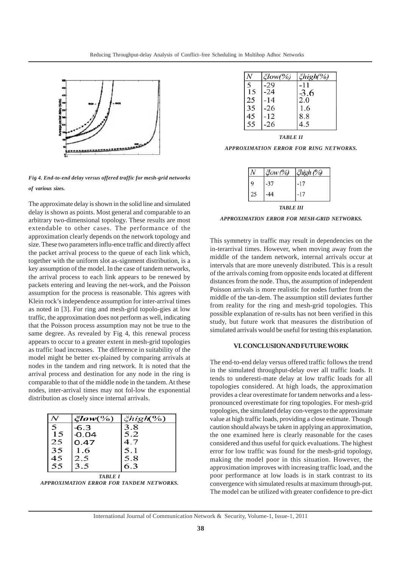

*Fig 4. End-to-end delay versus offered traffic for mesh-grid networks of various sizes.*

The approximate delay is shown in the solid line and simulated delay is shown as points. Most general and comparable to an arbitrary two-dimensional topology. These results are most extendable to other cases. The performance of the approximation clearly depends on the network topology and size. These two parameters influ-ence traffic and directly affect the packet arrival process to the queue of each link which, together with the uniform slot as-signment distribution, is a key assumption of the model. In the case of tandem networks, the arrival process to each link appears to be renewed by packets entering and leaving the net-work, and the Poisson assumption for the process is reasonable. This agrees with Klein rock's independence assumption for inter-arrival times as noted in [3]. For ring and mesh-grid topolo-gies at low traffic, the approximation does not perform as well, indicating that the Poisson process assumption may not be true to the same degree. As revealed by Fig 4, this renewal process appears to occur to a greater extent in mesh-grid topologies as traffic load increases. The difference in suitability of the model might be better ex-plained by comparing arrivals at nodes in the tandem and ring network. It is noted that the arrival process and destination for any node in the ring is comparable to that of the middle node in the tandem. At these nodes, inter-arrival times may not fol-low the exponential distribution as closely since internal arrivals.

|    | $\zeta$ low $(\%)$ | $\xi$ high $(\%)$ |
|----|--------------------|-------------------|
|    | $-6.3$             | 3.8               |
| 15 | -0.04              | 5.2               |
| 25 | 0.47               | 4.7               |
| 35 | 1.6                | 5.1               |
| 45 | 2.5                | 5.8               |
| 55 | 3.5                | 6.3               |
|    | TABLE I            |                   |



|    | člow(%) | $\xi$ high(%) |
|----|---------|---------------|
|    | .29     |               |
| 15 | $-24$   | $-3.6$        |
| 25 | 14      | 2.0           |
| 35 | $-26$   | 1.6           |
| 45 | $-12$   | 8.8           |
| 55 | $-26$   | 45            |

*TABLE II*

*APPROXIMATION ERROR FOR RING NETWORKS.*

| Jow (%) | high (%) |
|---------|----------|
|         |          |
|         |          |

#### *TABLE III*

*APPROXIMATION ERROR FOR MESH-GRID NETWORKS.*

This symmetry in traffic may result in dependencies on the in-terarrival times. However, when moving away from the middle of the tandem network, internal arrivals occur at intervals that are more unevenly distributed. This is a result of the arrivals coming from opposite ends located at different distances from the node. Thus, the assumption of independent Poisson arrivals is more realistic for nodes further from the middle of the tan-dem. The assumption still deviates further from reality for the ring and mesh-grid topologies. This possible explanation of re-sults has not been verified in this study, but future work that measures the distribution of simulated arrivals would be useful for testing this explanation.

#### **VI. CONCLUSION AND FUTURE WORK**

The end-to-end delay versus offered traffic follows the trend in the simulated throughput-delay over all traffic loads. It tends to underesti-mate delay at low traffic loads for all topologies considered. At high loads, the approximation provides a clear overestimate for tandem networks and a lesspronounced overestimate for ring topologies. For mesh-grid topologies, the simulated delay con-verges to the approximate value at high traffic loads, providing a close estimate. Though caution should always be taken in applying an approximation, the one examined here is clearly reasonable for the cases considered and thus useful for quick evaluations. The highest error for low traffic was found for the mesh-grid topology, making the model poor in this situation. However, the approximation improves with increasing traffic load, and the poor performance at low loads is in stark contrast to its convergence with simulated results at maximum through-put. The model can be utilized with greater confidence to pre-dict